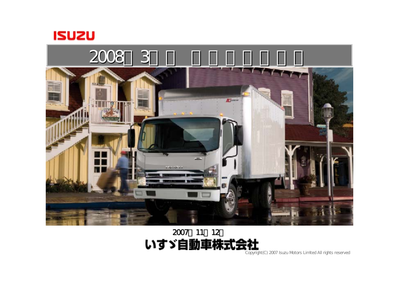

2008 3



#### 2007 11 12 いすゞ自動車株式会社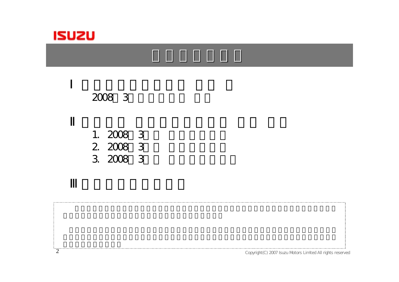

#### 2008年3月期中間決算 総括

1. 2008 3 2. 2008 3 3. 2008 3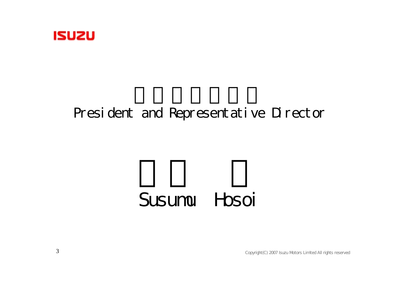

#### President and Representative Director

### Susumu Hosoi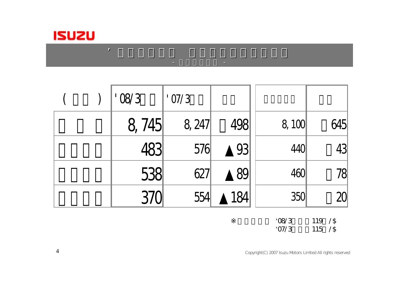

|  | $'$ 08/3        | $'$ 07/3 |     |            |     |
|--|-----------------|----------|-----|------------|-----|
|  | 8, 745          | 8, 247   | 498 | 8, 100     | 645 |
|  | 48 <sup>o</sup> | 576      | 93  | 440        | 43  |
|  | 538             | 627      | 89  | 460        | 78  |
|  | 37 <sup>°</sup> | 554      | 184 | <b>350</b> | 20  |

-

| $^{\circ}$ O8/3 | 119 / \$         |  |
|-----------------|------------------|--|
| '07/3           | $115 \quad /$ \$ |  |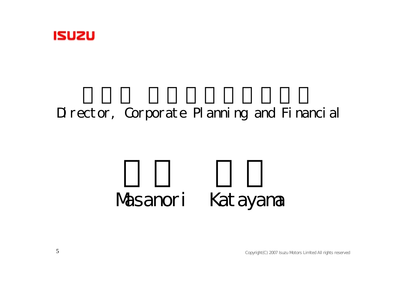

### Director, Corporate Planning and Financial

## Masanori Katayama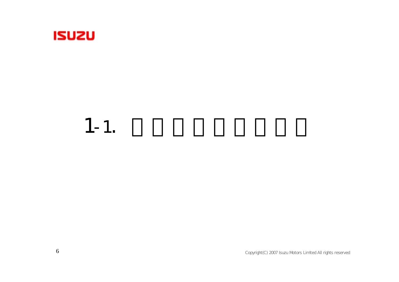

## $1 - 1.$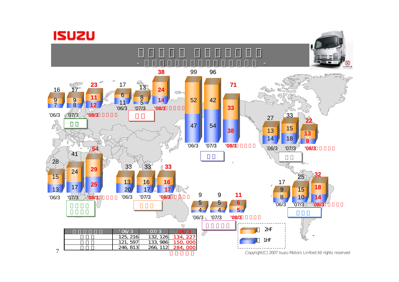#### **ISUZU**

-





-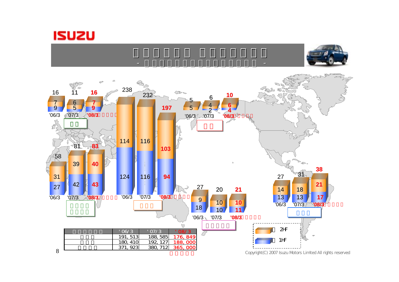

-



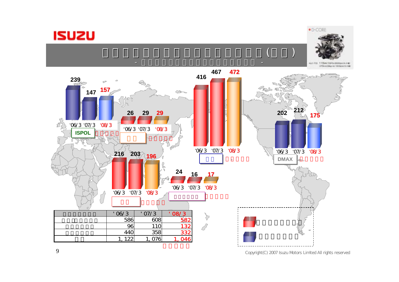

-



 $($ 



4ULTOS 11DUNCIS/PS/2000pml/k-2 0704400kg mi 1000cm in Hill

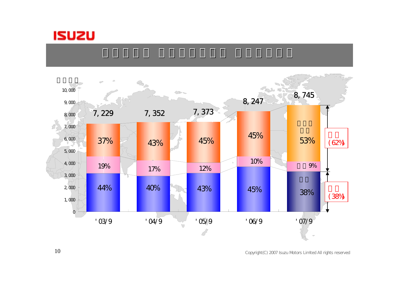

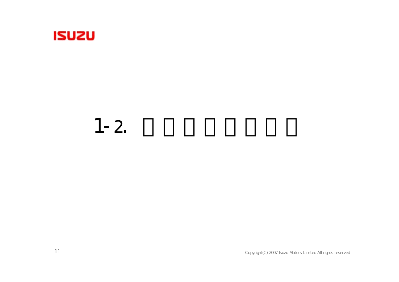

### $1 - 2.$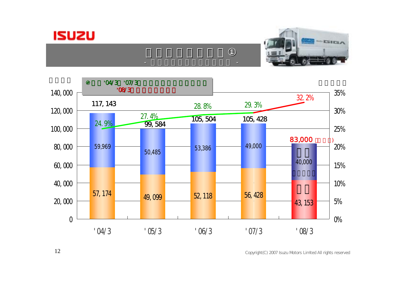





-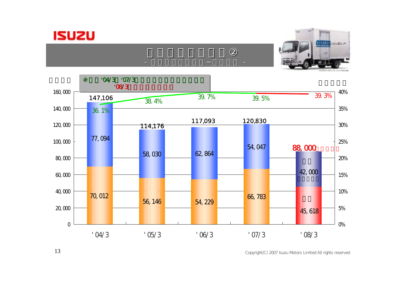





-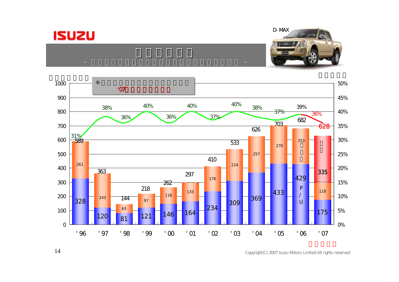

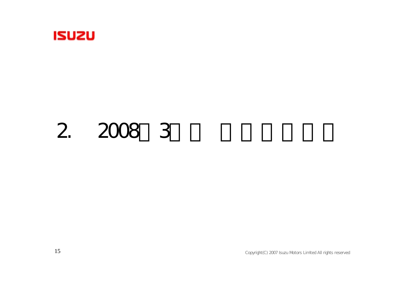

## 2. 2008 3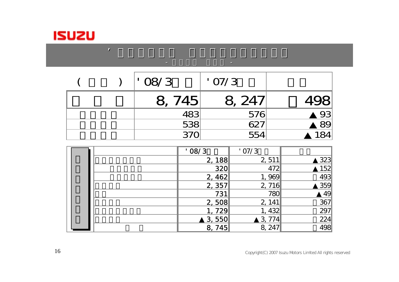

|  | $\cdot$ 08/3 | $'$ O7/3 |     |
|--|--------------|----------|-----|
|  | 8, 745       | 8, 247   | 498 |
|  | 483          | 576      | 93  |
|  | 538          | 627      | 89  |
|  | <b>370</b>   |          |     |

-

|  | 08/3   | $'$ 07/3 |     |
|--|--------|----------|-----|
|  | 2, 188 | 2, 511   | 323 |
|  | 320    | 472      | 152 |
|  | 2,462  | 1, 969   | 493 |
|  | 2,357  | 2, 716   | 359 |
|  | 731    | 780      | 49  |
|  | 2,508  | 2, 141   | 367 |
|  | 1,729  | 1, 432   | 297 |
|  | 3,550  | 3, 774   | 224 |
|  | 8, 745 | 8, 247   | 498 |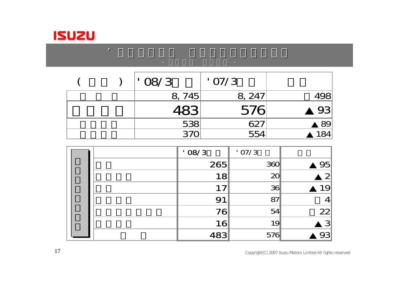

|  | 08/3       | $'$ O7/3 |                  |
|--|------------|----------|------------------|
|  | 8, 745     | 8, 247   | 498              |
|  | 483        | 576      | 731              |
|  | 538        | 627      | 89               |
|  | <b>370</b> | 554      | 184 <sub>1</sub> |

-

|  | $'$ O8/3 | $'$ O7/3 |                |
|--|----------|----------|----------------|
|  | 265      | 360      | 95             |
|  | 18       | 20       | $\overline{2}$ |
|  | 17       | 36       | 19             |
|  | 91       | 87       |                |
|  | 76       | 54       | 22             |
|  | 16       | 19       | 3              |
|  | 483      | 576      | 93             |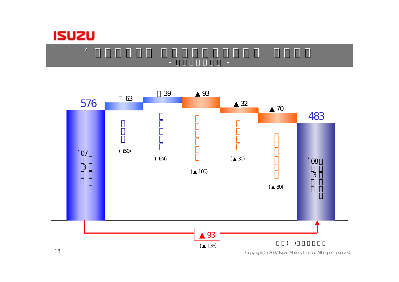



-

-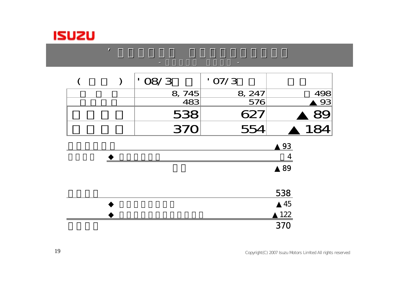

-

|  | <b>08/3</b>      | $'$ O7/3 |     |
|--|------------------|----------|-----|
|  | 8, 745           | 8, 247   | 498 |
|  | $\overline{483}$ | 576      | 93  |
|  | 538              | つノ・      |     |
|  | <b>370</b>       |          | 184 |

| $-\bullet\cdot$<br>ь ∢ |
|------------------------|
| $-$<br>łЪ              |
| ററ<br>1                |
| 27                     |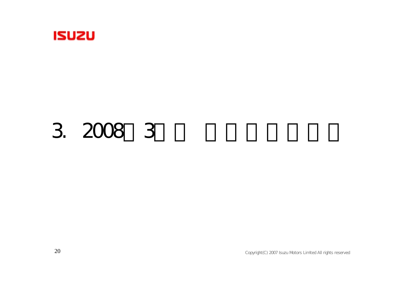

## 3. 2008 3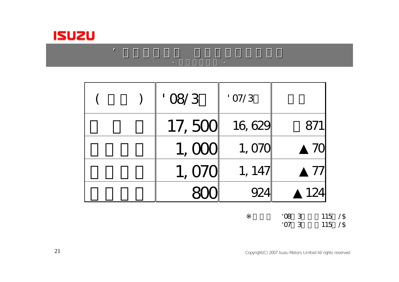

|  | $'$ 08/3 | $'$ O7/3 |     |
|--|----------|----------|-----|
|  | 17,500   | 16, 629  | 871 |
|  | 1,000    | 1,070    |     |
|  | 1,070    | 1, 147   |     |
|  |          | 924      | 124 |

-

-

'08年3月期=115円/\$ '07年3月期=115円/\$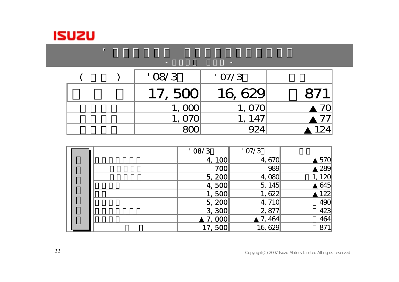

|  | -            | -        |     |
|--|--------------|----------|-----|
|  | $\cdot$ 08/3 | $'$ O7/3 |     |
|  | 17,500       | 16, 629  | 871 |
|  | 1,000        | 1, 070   |     |
|  | 1, 070       | 1, 147   |     |
|  |              |          |     |

|  | $'$ 08/3 | $'$ 07/3 |                     |
|--|----------|----------|---------------------|
|  | 4, 100   | 4,670    | 570                 |
|  | 700      | 989      | 289                 |
|  | 5, 200   | 4,080    | $\frac{1,120}{645}$ |
|  | 4,500    | 5, 145   |                     |
|  | 1,500    | 1,622    | 122                 |
|  | 5, 200   | 4, 710   | 490                 |
|  | 3, 300   | 2,877    | 423                 |
|  | 7,000    | 7, 464   | 464                 |
|  | 17,500   | 16, 629  | 871                 |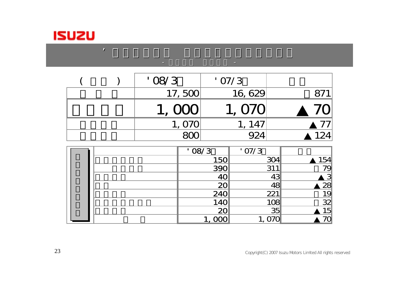

#### $'08/3$   $'07/3$ 17, 500 16, 629 871 1, 000 1, 070 70 1, 070 1, 147 77 当期利益 800 924 ▲124

-

|  | 08/3             | $'$ O7/3     |                 |
|--|------------------|--------------|-----------------|
|  | <u>150</u>       | 304          | 154             |
|  | 390              | 31           | 79              |
|  | 40               | 43           | $\overline{3}$  |
|  | $\overline{20'}$ | 48           | 28              |
|  | 240              | $22^{\circ}$ | 19              |
|  | 140              | 108          | 32              |
|  | 20               | 35           | 15 <sub>h</sub> |
|  | 1,000            |              |                 |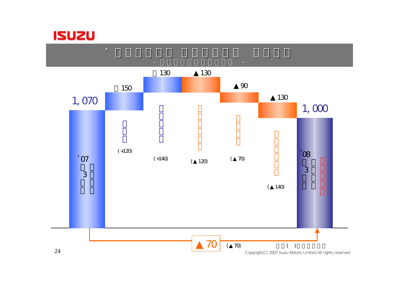

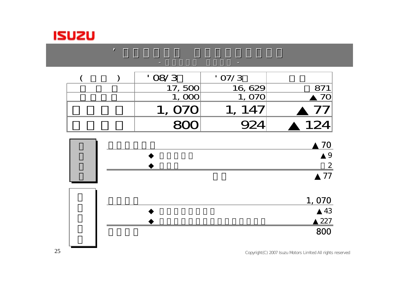![](_page_24_Picture_0.jpeg)

-

|  | $\cdot$ 08/3 | $'$ O7/3 |      |
|--|--------------|----------|------|
|  | 17,500       | 16, 629  |      |
|  | 1,000        | 1, O7O   |      |
|  | 1, O7O       | 147      |      |
|  |              |          | 1241 |

|  | 70                 |
|--|--------------------|
|  | O                  |
|  | ⌒                  |
|  | 77                 |
|  |                    |
|  | $\frac{1,070}{43}$ |
|  |                    |
|  | 227                |
|  | 800                |
|  |                    |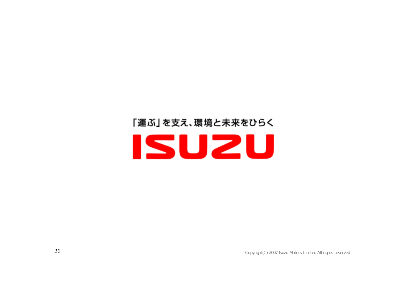# 「運ぶ」を支え、環境と未来をひらく ISUZU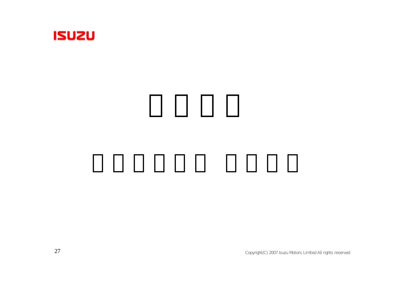![](_page_26_Picture_0.jpeg)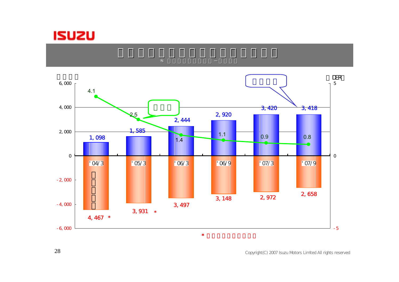![](_page_27_Picture_0.jpeg)

![](_page_27_Figure_1.jpeg)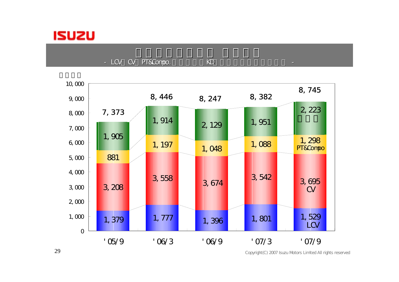![](_page_28_Picture_0.jpeg)

- LCV CV PT&Compo. And RD

![](_page_28_Figure_4.jpeg)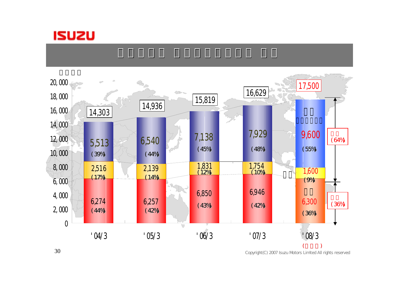![](_page_29_Picture_0.jpeg)

![](_page_29_Figure_1.jpeg)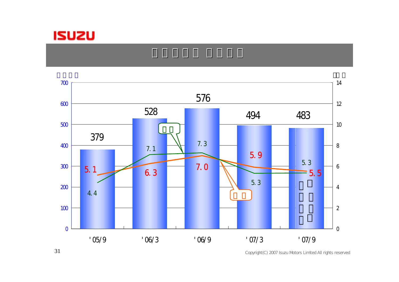![](_page_30_Picture_0.jpeg)

![](_page_30_Figure_1.jpeg)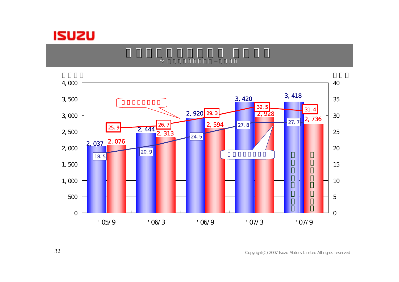![](_page_31_Picture_0.jpeg)

![](_page_31_Figure_1.jpeg)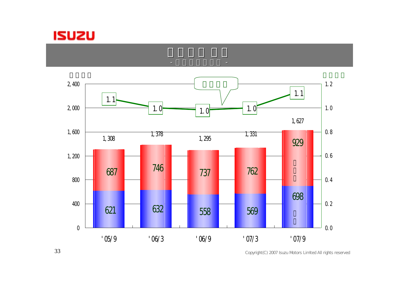![](_page_32_Picture_0.jpeg)

![](_page_32_Figure_1.jpeg)

-

-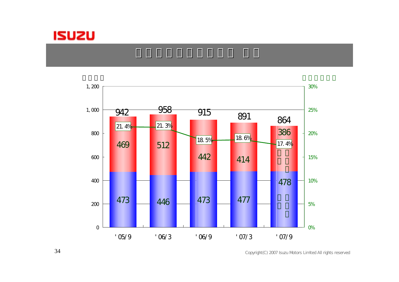![](_page_33_Picture_0.jpeg)

![](_page_33_Figure_1.jpeg)